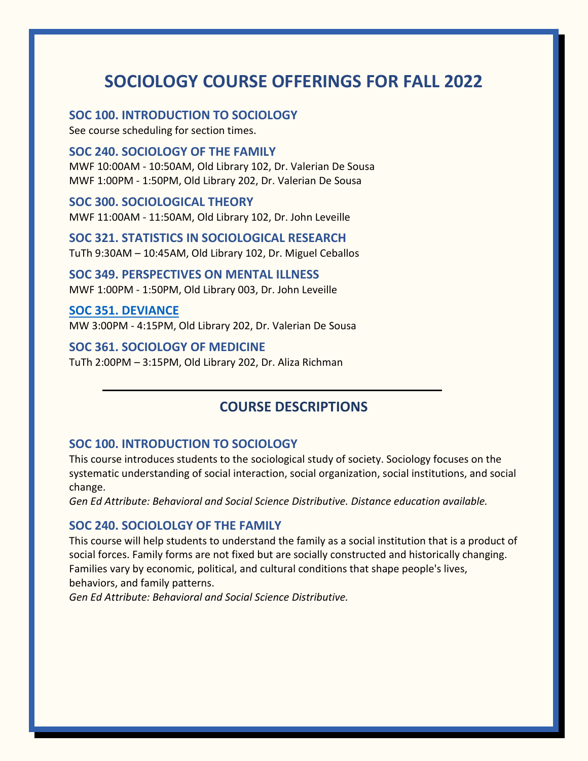# **SOCIOLOGY COURSE OFFERINGS FOR FALL 2022**

**SOC 100. INTRODUCTION TO SOCIOLOGY**

See course scheduling for section times.

#### **SOC 240. SOCIOLOGY OF THE FAMILY**

MWF 10:00AM - 10:50AM, Old Library 102, Dr. Valerian De Sousa MWF 1:00PM - 1:50PM, Old Library 202, Dr. Valerian De Sousa

# **SOC 300. SOCIOLOGICAL THEORY**

MWF 11:00AM - 11:50AM, Old Library 102, Dr. John Leveille

**SOC 321. STATISTICS IN SOCIOLOGICAL RESEARCH** TuTh 9:30AM – 10:45AM, Old Library 102, Dr. Miguel Ceballos

**[SOC 349. P](https://www.wcupa.edu/sciences-mathematics/anthropologySociology/documents/SOC%20372%20Poster.pdf)ERSPECTIVES ON MENTAL ILLNESS** MWF 1:00PM - 1:50PM, Old Library 003, Dr. John Leveille

**[SOC 351. DEVIANCE](http://a.cms.omniupdate.com/11/#oucampus/wcupa/www/preview/sciences-mathematics/anthropologySociology/documents/351%20Poster-F2022.pdf)** MW 3:00PM - 4:15PM, Old Library 202, Dr. Valerian De Sousa

# **SOC 361. SOCIOLOGY OF MEDICINE**

TuTh 2:00PM – 3:15PM, Old Library 202, Dr. Aliza Richman

# **COURSE DESCRIPTIONS**

### **SOC 100. INTRODUCTION TO SOCIOLOGY**

This course introduces students to the sociological study of society. Sociology focuses on the systematic understanding of social interaction, social organization, social institutions, and social change.

*Gen Ed Attribute: Behavioral and Social Science Distributive. Distance education available.*

#### **SOC 240. SOCIOLOLGY OF THE FAMILY**

This course will help students to understand the family as a social institution that is a product of social forces. Family forms are not fixed but are socially constructed and historically changing. Families vary by economic, political, and cultural conditions that shape people's lives, behaviors, and family patterns.

*Gen Ed Attribute: Behavioral and Social Science Distributive.*